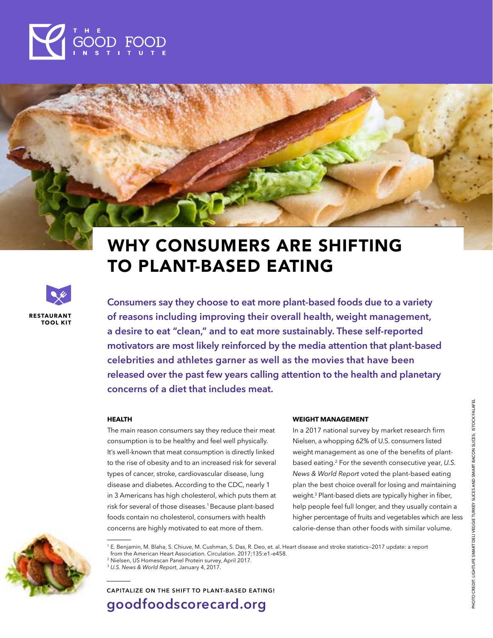

# WHY CONSUMERS ARE SHIFTING TO PLANT-BASED EATING



**Consumers say they choose to eat more plant-based foods due to a variety of reasons including improving their overall health, weight management, a desire to eat "clean," and to eat more sustainably. These self-reported motivators are most likely reinforced by the media attention that plant-based celebrities and athletes garner as well as the movies that have been released over the past few years calling attention to the health and planetary concerns of a diet that includes meat.**

#### **HEALTH**

The main reason consumers say they reduce their meat consumption is to be healthy and feel well physically. It's well-known that meat consumption is directly linked to the rise of obesity and to an increased risk for several types of cancer, stroke, cardiovascular disease, lung disease and diabetes. According to the CDC, nearly 1 in 3 Americans has high cholesterol, which puts them at risk for several of those diseases.<sup>1</sup> Because plant-based foods contain no cholesterol, consumers with health concerns are highly motivated to eat more of them.

#### **WEIGHT MANAGEMENT**

In a 2017 national survey by market research firm Nielsen, a whopping 62% of U.S. consumers listed weight management as one of the benefits of plantbased eating.2 For the seventh consecutive year, *U.S. News & World Report* voted the plant-based eating plan the best choice overall for losing and maintaining weight.3 Plant-based diets are typically higher in fiber, help people feel full longer, and they usually contain a higher percentage of fruits and vegetables which are less calorie-dense than other foods with similar volume.

<sup>1</sup> [E. Benjamin, M. Blaha, S. Chiuve, M. Cushman, S. Das, R. Deo, et. al. Heart disease and stroke statistics—2017 update: a report](https://www.cdc.gov/cholesterol/ )  [from the American Heart Association. Circulation. 2017;135:e1–e458.](https://www.cdc.gov/cholesterol/ )

<sup>2</sup> Nielsen, US Homescan Panel Protein survey, April 2017.

<sup>3</sup> *[U.S. News & World Report](https://health.usnews.com/health-care/articles/2017-01-04/plant-based-diets-score-big-for-healthy-weight-loss)*, January 4, 2017.

**CAPITALIZE ON THE SHIFT TO PLANT-BASED EATING! [goodfoodscorecard.org](http://goodfoodscorecard.org)**